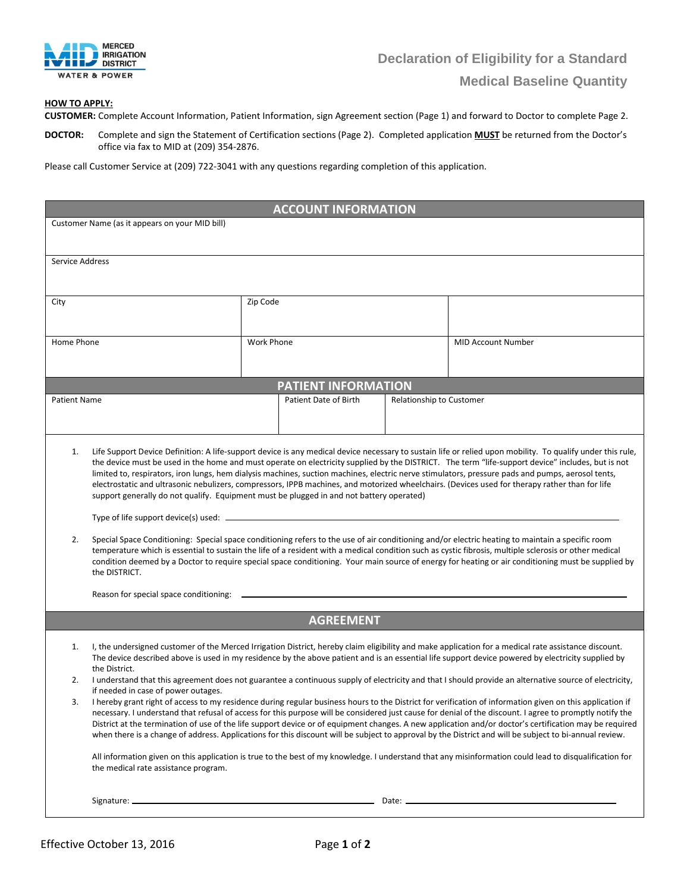

## **HOW TO APPLY:**

**CUSTOMER:** Complete Account Information, Patient Information, sign Agreement section (Page 1) and forward to Doctor to complete Page 2.

**DOCTOR:** Complete and sign the Statement of Certification sections (Page 2). Completed application **MUST** be returned from the Doctor's office via fax to MID at (209) 354-2876.

Please call Customer Service at (209) 722-3041 with any questions regarding completion of this application.

| <b>ACCOUNT INFORMATION</b>                     |                                                                                                                                                                                                                                                                                                                                                                                                                                                                                                                                                                                                                                                                                                                                                                                                                                                                                                                                                                                                                                                                                        |                   |                                                   |  |                           |  |  |
|------------------------------------------------|----------------------------------------------------------------------------------------------------------------------------------------------------------------------------------------------------------------------------------------------------------------------------------------------------------------------------------------------------------------------------------------------------------------------------------------------------------------------------------------------------------------------------------------------------------------------------------------------------------------------------------------------------------------------------------------------------------------------------------------------------------------------------------------------------------------------------------------------------------------------------------------------------------------------------------------------------------------------------------------------------------------------------------------------------------------------------------------|-------------------|---------------------------------------------------|--|---------------------------|--|--|
| Customer Name (as it appears on your MID bill) |                                                                                                                                                                                                                                                                                                                                                                                                                                                                                                                                                                                                                                                                                                                                                                                                                                                                                                                                                                                                                                                                                        |                   |                                                   |  |                           |  |  |
|                                                |                                                                                                                                                                                                                                                                                                                                                                                                                                                                                                                                                                                                                                                                                                                                                                                                                                                                                                                                                                                                                                                                                        |                   |                                                   |  |                           |  |  |
| Service Address                                |                                                                                                                                                                                                                                                                                                                                                                                                                                                                                                                                                                                                                                                                                                                                                                                                                                                                                                                                                                                                                                                                                        |                   |                                                   |  |                           |  |  |
| City                                           |                                                                                                                                                                                                                                                                                                                                                                                                                                                                                                                                                                                                                                                                                                                                                                                                                                                                                                                                                                                                                                                                                        | Zip Code          |                                                   |  |                           |  |  |
|                                                |                                                                                                                                                                                                                                                                                                                                                                                                                                                                                                                                                                                                                                                                                                                                                                                                                                                                                                                                                                                                                                                                                        |                   |                                                   |  |                           |  |  |
| Home Phone                                     |                                                                                                                                                                                                                                                                                                                                                                                                                                                                                                                                                                                                                                                                                                                                                                                                                                                                                                                                                                                                                                                                                        | <b>Work Phone</b> |                                                   |  | <b>MID Account Number</b> |  |  |
|                                                |                                                                                                                                                                                                                                                                                                                                                                                                                                                                                                                                                                                                                                                                                                                                                                                                                                                                                                                                                                                                                                                                                        |                   |                                                   |  |                           |  |  |
|                                                |                                                                                                                                                                                                                                                                                                                                                                                                                                                                                                                                                                                                                                                                                                                                                                                                                                                                                                                                                                                                                                                                                        |                   | <b>PATIENT INFORMATION</b>                        |  |                           |  |  |
| <b>Patient Name</b>                            |                                                                                                                                                                                                                                                                                                                                                                                                                                                                                                                                                                                                                                                                                                                                                                                                                                                                                                                                                                                                                                                                                        |                   | Patient Date of Birth<br>Relationship to Customer |  |                           |  |  |
|                                                |                                                                                                                                                                                                                                                                                                                                                                                                                                                                                                                                                                                                                                                                                                                                                                                                                                                                                                                                                                                                                                                                                        |                   |                                                   |  |                           |  |  |
| 2.                                             | the device must be used in the home and must operate on electricity supplied by the DISTRICT. The term "life-support device" includes, but is not<br>limited to, respirators, iron lungs, hem dialysis machines, suction machines, electric nerve stimulators, pressure pads and pumps, aerosol tents,<br>electrostatic and ultrasonic nebulizers, compressors, IPPB machines, and motorized wheelchairs. (Devices used for therapy rather than for life<br>support generally do not qualify. Equipment must be plugged in and not battery operated)<br>Special Space Conditioning: Special space conditioning refers to the use of air conditioning and/or electric heating to maintain a specific room<br>temperature which is essential to sustain the life of a resident with a medical condition such as cystic fibrosis, multiple sclerosis or other medical<br>condition deemed by a Doctor to require special space conditioning. Your main source of energy for heating or air conditioning must be supplied by<br>the DISTRICT.<br>Reason for special space conditioning: __ |                   |                                                   |  |                           |  |  |
|                                                |                                                                                                                                                                                                                                                                                                                                                                                                                                                                                                                                                                                                                                                                                                                                                                                                                                                                                                                                                                                                                                                                                        |                   | <b>AGREEMENT</b>                                  |  |                           |  |  |
| 1.                                             | I, the undersigned customer of the Merced Irrigation District, hereby claim eligibility and make application for a medical rate assistance discount.<br>The device described above is used in my residence by the above patient and is an essential life support device powered by electricity supplied by<br>the District.                                                                                                                                                                                                                                                                                                                                                                                                                                                                                                                                                                                                                                                                                                                                                            |                   |                                                   |  |                           |  |  |
| 2.                                             | I understand that this agreement does not guarantee a continuous supply of electricity and that I should provide an alternative source of electricity,<br>if needed in case of power outages.                                                                                                                                                                                                                                                                                                                                                                                                                                                                                                                                                                                                                                                                                                                                                                                                                                                                                          |                   |                                                   |  |                           |  |  |
|                                                | I hereby grant right of access to my residence during regular business hours to the District for verification of information given on this application if<br>necessary. I understand that refusal of access for this purpose will be considered just cause for denial of the discount. I agree to promptly notify the<br>District at the termination of use of the life support device or of equipment changes. A new application and/or doctor's certification may be required<br>when there is a change of address. Applications for this discount will be subject to approval by the District and will be subject to bi-annual review.<br>All information given on this application is true to the best of my knowledge. I understand that any misinformation could lead to disqualification for<br>the medical rate assistance program.                                                                                                                                                                                                                                            |                   |                                                   |  |                           |  |  |
|                                                |                                                                                                                                                                                                                                                                                                                                                                                                                                                                                                                                                                                                                                                                                                                                                                                                                                                                                                                                                                                                                                                                                        |                   |                                                   |  |                           |  |  |
|                                                |                                                                                                                                                                                                                                                                                                                                                                                                                                                                                                                                                                                                                                                                                                                                                                                                                                                                                                                                                                                                                                                                                        |                   |                                                   |  |                           |  |  |